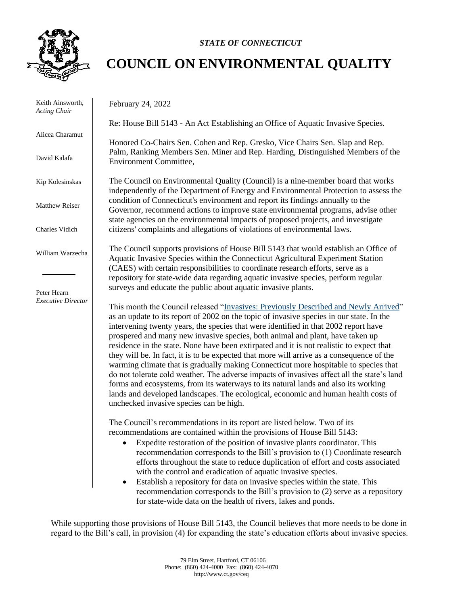

## *STATE OF CONNECTICUT*

## **COUNCIL ON ENVIRONMENTAL QUALITY**

 Keith Ainsworth, *Acting Chair* Alicea Charamut David Kalafa Kip Kolesinskas Matthew Reiser Charles Vidich William Warzecha Peter Hearn *Executive Director* February 24, 2022 Re: House Bill 5143 **-** An Act Establishing an Office of Aquatic Invasive Species. Honored Co-Chairs Sen. Cohen and Rep. Gresko, Vice Chairs Sen. Slap and Rep. Palm, Ranking Members Sen. Miner and Rep. Harding, Distinguished Members of the Environment Committee, The Council on Environmental Quality (Council) is a nine-member board that works independently of the Department of Energy and Environmental Protection to assess the condition of Connecticut's environment and report its findings annually to the Governor, recommend actions to improve state environmental programs, advise other state agencies on the environmental impacts of proposed projects, and investigate citizens' complaints and allegations of violations of environmental laws. The Council supports provisions of House Bill 5143 that would establish an Office of Aquatic Invasive Species within the Connecticut Agricultural Experiment Station (CAES) with certain responsibilities to coordinate research efforts, serve as a repository for state-wide data regarding aquatic invasive species, perform regular surveys and educate the public about aquatic invasive plants. This month the Council released ["Invasives: Previously Described and Newly Arrived"](https://portal.ct.gov/-/media/CEQ/Publications/2022/Invasives-Report---2-24-2022.pdf) as an update to its report of 2002 on the topic of invasive species in our state. In the intervening twenty years, the species that were identified in that 2002 report have prospered and many new invasive species, both animal and plant, have taken up residence in the state. None have been extirpated and it is not realistic to expect that they will be. In fact, it is to be expected that more will arrive as a consequence of the warming climate that is gradually making Connecticut more hospitable to species that do not tolerate cold weather. The adverse impacts of invasives affect all the state's land forms and ecosystems, from its waterways to its natural lands and also its working lands and developed landscapes. The ecological, economic and human health costs of unchecked invasive species can be high. The Council's recommendations in its report are listed below. Two of its recommendations are contained within the provisions of House Bill 5143: Expedite restoration of the position of invasive plants coordinator. This recommendation corresponds to the Bill's provision to (1) Coordinate research efforts throughout the state to reduce duplication of effort and costs associated with the control and eradication of aquatic invasive species.

> • Establish a repository for data on invasive species within the state. This recommendation corresponds to the Bill's provision to (2) serve as a repository for state-wide data on the health of rivers, lakes and ponds.

While supporting those provisions of House Bill 5143, the Council believes that more needs to be done in regard to the Bill's call, in provision (4) for expanding the state's education efforts about invasive species.